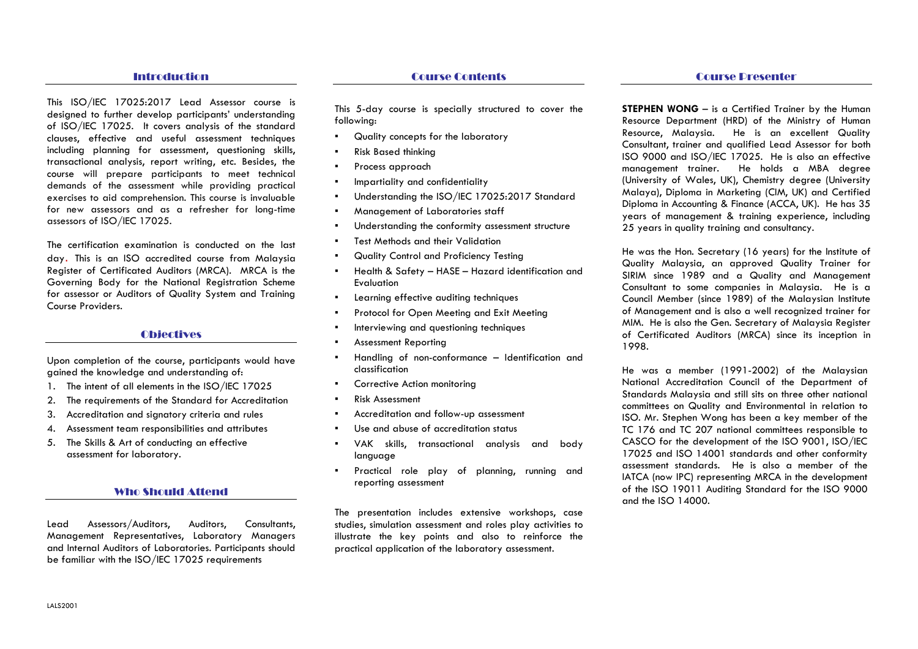#### Introduction

This ISO/IEC 17025:2017 Lead Assessor course is designed to further develop participants' understanding of ISO/IEC 17025. It covers analysis of the standard clauses, effective and useful assessment techniques including planning for assessment, questioning skills, transactional analysis, report writing, etc. Besides, the course will prepare participants to meet technical demands of the assessment while providing practical exercises to aid comprehension. This course is invaluable for new assessors and as a refresher for long-time assessors of ISO/IEC 17025.

The certification examination is conducted on the last day. This is an ISO accredited course from Malaysia Register of Certificated Auditors (MRCA). MRCA is the Governing Body for the National Registration Scheme for assessor or Auditors of Quality System and Training Course Providers.

### **Objectives**

Upon completion of the course, participants would have gained the knowledge and understanding of:

- 1. The intent of all elements in the ISO/IEC 17025
- 2. The requirements of the Standard for Accreditation
- 3. Accreditation and signatory criteria and rules
- 4. Assessment team responsibilities and attributes
- 5. The Skills & Art of conducting an effective assessment for laboratory.

#### Who Should Attend

Lead Assessors/Auditors, Auditors, Consultants, Management Representatives, Laboratory Managers and Internal Auditors of Laboratories. Participants should be familiar with the ISO/IEC 17025 requirements

This 5-day course is specially structured to cover the following:

- ▪Quality concepts for the laboratory
- ▪Risk Based thinking
- ▪Process approach
- ▪Impartiality and confidentiality
- ▪Understanding the ISO/IEC 17025:2017 Standard
- ▪Management of Laboratories staff
- ▪Understanding the conformity assessment structure
- ▪Test Methods and their Validation
- ▪Quality Control and Proficiency Testing
- ▪ Health & Safety – HASE – Hazard identification and Evaluation
- ▪Learning effective auditing techniques
- ▪Protocol for Open Meeting and Exit Meeting
- ▪Interviewing and questioning techniques
- ▪Assessment Reporting
- ▪ Handling of non-conformance – Identification and classification
- ▪Corrective Action monitoring
- ▪Risk Assessment
- ▪Accreditation and follow-up assessment
- ▪Use and abuse of accreditation status
- ▪ VAK skills, transactional analysis and body language
- ▪ Practical role play of planning, running and reporting assessment

The presentation includes extensive workshops, case studies, simulation assessment and roles play activities to illustrate the key points and also to reinforce thepractical application of the laboratory assessment.

**STEPHEN WONG** – is a Certified Trainer by the Human Resource Department (HRD) of the Ministry of Human Resource, Malaysia. He is an excellent Quality Consultant, trainer and qualified Lead Assessor for both ISO 9000 and ISO/IEC 17025. He is also an effective management trainer. He holds a MBA degree (University of Wales, UK), Chemistry degree (University Malaya), Diploma in Marketing (CIM, UK) and Certified Diploma in Accounting & Finance (ACCA, UK). He has 35 years of management & training experience, including 25 years in quality training and consultancy.

He was the Hon. Secretary (16 years) for the Institute of Quality Malaysia, an approved Quality Trainer for SIRIM since 1989 and a Quality and Management Consultant to some companies in Malaysia. He is a Council Member (since 1989) of the Malaysian Institute of Management and is also a well recognized trainer for MIM. He is also the Gen. Secretary of Malaysia Register of Certificated Auditors (MRCA) since its inception in 1998.

He was a member (1991-2002) of the Malaysian National Accreditation Council of the Department of Standards Malaysia and still sits on three other national committees on Quality and Environmental in relation to ISO. Mr. Stephen Wong has been a key member of the TC 176 and TC 207 national committees responsible to CASCO for the development of the ISO 9001, ISO/IEC 17025 and ISO 14001 standards and other conformity assessment standards. He is also a member of the IATCA (now IPC) representing MRCA in the development of the ISO 19011 Auditing Standard for the ISO 9000and the ISO 14000.

## Course Presenter